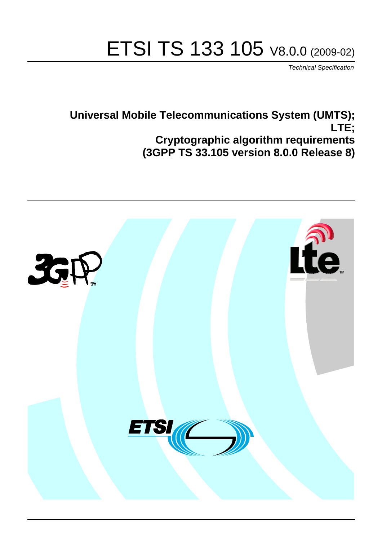# ETSI TS 133 105 V8.0.0 (2009-02)

*Technical Specification*

**Universal Mobile Telecommunications System (UMTS); LTE; Cryptographic algorithm requirements (3GPP TS 33.105 version 8.0.0 Release 8)**

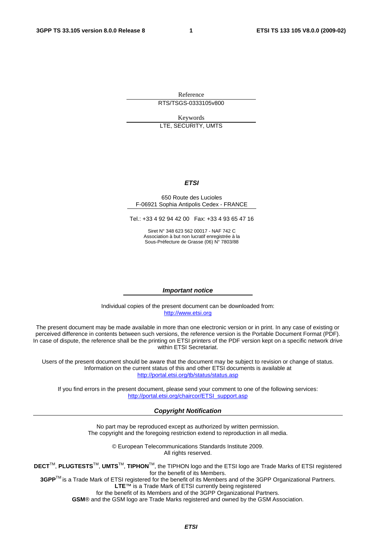Reference RTS/TSGS-0333105v800

Keywords LTE, SECURITY, UMTS

#### *ETSI*

#### 650 Route des Lucioles F-06921 Sophia Antipolis Cedex - FRANCE

Tel.: +33 4 92 94 42 00 Fax: +33 4 93 65 47 16

Siret N° 348 623 562 00017 - NAF 742 C Association à but non lucratif enregistrée à la Sous-Préfecture de Grasse (06) N° 7803/88

#### *Important notice*

Individual copies of the present document can be downloaded from: [http://www.etsi.org](http://www.etsi.org/)

The present document may be made available in more than one electronic version or in print. In any case of existing or perceived difference in contents between such versions, the reference version is the Portable Document Format (PDF). In case of dispute, the reference shall be the printing on ETSI printers of the PDF version kept on a specific network drive within ETSI Secretariat.

Users of the present document should be aware that the document may be subject to revision or change of status. Information on the current status of this and other ETSI documents is available at <http://portal.etsi.org/tb/status/status.asp>

If you find errors in the present document, please send your comment to one of the following services: [http://portal.etsi.org/chaircor/ETSI\\_support.asp](http://portal.etsi.org/chaircor/ETSI_support.asp)

#### *Copyright Notification*

No part may be reproduced except as authorized by written permission. The copyright and the foregoing restriction extend to reproduction in all media.

> © European Telecommunications Standards Institute 2009. All rights reserved.

**DECT**TM, **PLUGTESTS**TM, **UMTS**TM, **TIPHON**TM, the TIPHON logo and the ETSI logo are Trade Marks of ETSI registered for the benefit of its Members.

**3GPP**TM is a Trade Mark of ETSI registered for the benefit of its Members and of the 3GPP Organizational Partners. **LTE**™ is a Trade Mark of ETSI currently being registered

for the benefit of its Members and of the 3GPP Organizational Partners.

**GSM**® and the GSM logo are Trade Marks registered and owned by the GSM Association.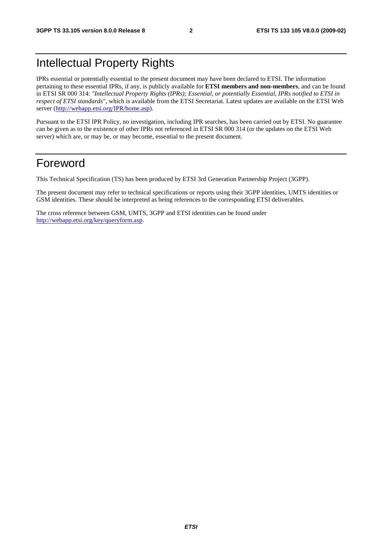## Intellectual Property Rights

IPRs essential or potentially essential to the present document may have been declared to ETSI. The information pertaining to these essential IPRs, if any, is publicly available for **ETSI members and non-members**, and can be found in ETSI SR 000 314: *"Intellectual Property Rights (IPRs); Essential, or potentially Essential, IPRs notified to ETSI in respect of ETSI standards"*, which is available from the ETSI Secretariat. Latest updates are available on the ETSI Web server [\(http://webapp.etsi.org/IPR/home.asp\)](http://webapp.etsi.org/IPR/home.asp).

Pursuant to the ETSI IPR Policy, no investigation, including IPR searches, has been carried out by ETSI. No guarantee can be given as to the existence of other IPRs not referenced in ETSI SR 000 314 (or the updates on the ETSI Web server) which are, or may be, or may become, essential to the present document.

## Foreword

This Technical Specification (TS) has been produced by ETSI 3rd Generation Partnership Project (3GPP).

The present document may refer to technical specifications or reports using their 3GPP identities, UMTS identities or GSM identities. These should be interpreted as being references to the corresponding ETSI deliverables.

The cross reference between GSM, UMTS, 3GPP and ETSI identities can be found under [http://webapp.etsi.org/key/queryform.asp.](http://webapp.etsi.org/key/queryform.asp)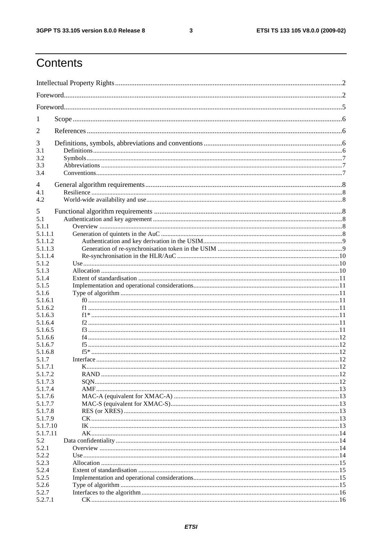$\mathbf{3}$ 

## Contents

| 1                  |  |  |  |  |
|--------------------|--|--|--|--|
| 2                  |  |  |  |  |
| 3                  |  |  |  |  |
| 3.1<br>3.2         |  |  |  |  |
| 3.3                |  |  |  |  |
| 3.4                |  |  |  |  |
| 4                  |  |  |  |  |
| 4.1                |  |  |  |  |
| 4.2                |  |  |  |  |
| 5                  |  |  |  |  |
| 5.1                |  |  |  |  |
| 5.1.1              |  |  |  |  |
| 5.1.1.1            |  |  |  |  |
| 5.1.1.2            |  |  |  |  |
| 5.1.1.3            |  |  |  |  |
| 5.1.1.4            |  |  |  |  |
| 5.1.2              |  |  |  |  |
| 5.1.3              |  |  |  |  |
| 5.1.4              |  |  |  |  |
| 5.1.5<br>5.1.6     |  |  |  |  |
| 5.1.6.1            |  |  |  |  |
| 5.1.6.2            |  |  |  |  |
| 5.1.6.3            |  |  |  |  |
| 5.1.6.4            |  |  |  |  |
| 5.1.6.5            |  |  |  |  |
| 5.1.6.6            |  |  |  |  |
| 5.1.6.7            |  |  |  |  |
| 5.1.6.8            |  |  |  |  |
| 5.1.7              |  |  |  |  |
| 5.1.7.1            |  |  |  |  |
| 5.1.7.2            |  |  |  |  |
| 5.1.7.3<br>5.1.7.4 |  |  |  |  |
| 5.1.7.6            |  |  |  |  |
| 5.1.7.7            |  |  |  |  |
| 5.1.7.8            |  |  |  |  |
| 5.1.7.9            |  |  |  |  |
| 5.1.7.10           |  |  |  |  |
| 5.1.7.11           |  |  |  |  |
| 5.2                |  |  |  |  |
| 5.2.1              |  |  |  |  |
| 5.2.2              |  |  |  |  |
| 5.2.3              |  |  |  |  |
| 5.2.4              |  |  |  |  |
| 5.2.5              |  |  |  |  |
| 5.2.6              |  |  |  |  |
| 5.2.7<br>5.2.7.1   |  |  |  |  |
|                    |  |  |  |  |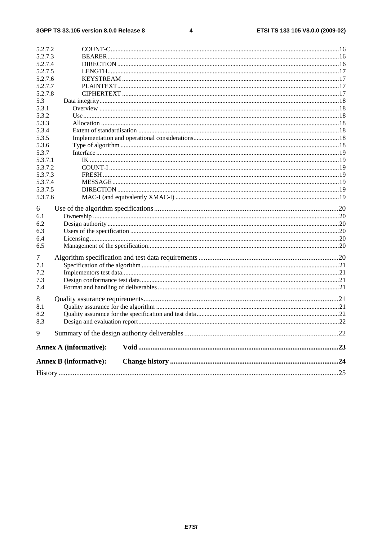#### $\overline{\mathbf{4}}$

|                | <b>Annex B (informative):</b> |  |
|----------------|-------------------------------|--|
|                | <b>Annex A (informative):</b> |  |
| 9              |                               |  |
| 8.3            |                               |  |
| 8.2            |                               |  |
| 8.1            |                               |  |
| 8              |                               |  |
| 7.3<br>7.4     |                               |  |
| 7.2            |                               |  |
| 7.1            |                               |  |
| 7              |                               |  |
| 6.5            |                               |  |
| 6.4            |                               |  |
| 6.3            |                               |  |
| 6.2            |                               |  |
| 6.1            |                               |  |
| 6              |                               |  |
| 5.3.7.6        |                               |  |
| 5.3.7.5        |                               |  |
| 5.3.7.4        |                               |  |
| 5.3.7.3        |                               |  |
| 5.3.7.2        |                               |  |
| 5.3.7.1        |                               |  |
| 5.3.7          |                               |  |
| 5.3.6          |                               |  |
| 5.3.5          |                               |  |
| 5.3.3<br>5.3.4 |                               |  |
| 5.3.2          |                               |  |
| 5.3.1          |                               |  |
| 5.3            |                               |  |
| 5.2.7.8        |                               |  |
| 5.2.7.7        |                               |  |
| 5.2.7.6        |                               |  |
| 5.2.7.5        |                               |  |
| 5.2.7.4        |                               |  |
| 5.2.7.3        |                               |  |
| 5.2.7.2        |                               |  |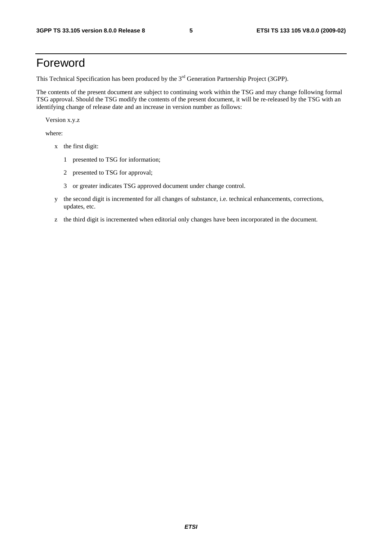## Foreword

This Technical Specification has been produced by the 3<sup>rd</sup> Generation Partnership Project (3GPP).

The contents of the present document are subject to continuing work within the TSG and may change following formal TSG approval. Should the TSG modify the contents of the present document, it will be re-released by the TSG with an identifying change of release date and an increase in version number as follows:

Version x.y.z

where:

- x the first digit:
	- 1 presented to TSG for information;
	- 2 presented to TSG for approval;
	- 3 or greater indicates TSG approved document under change control.
- y the second digit is incremented for all changes of substance, i.e. technical enhancements, corrections, updates, etc.
- z the third digit is incremented when editorial only changes have been incorporated in the document.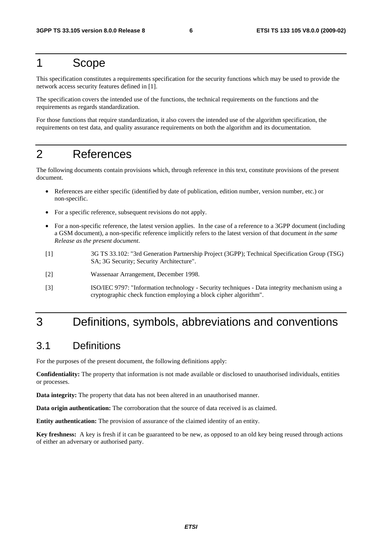## 1 Scope

This specification constitutes a requirements specification for the security functions which may be used to provide the network access security features defined in [1].

The specification covers the intended use of the functions, the technical requirements on the functions and the requirements as regards standardization.

For those functions that require standardization, it also covers the intended use of the algorithm specification, the requirements on test data, and quality assurance requirements on both the algorithm and its documentation.

## 2 References

The following documents contain provisions which, through reference in this text, constitute provisions of the present document.

- References are either specific (identified by date of publication, edition number, version number, etc.) or non-specific.
- For a specific reference, subsequent revisions do not apply.
- For a non-specific reference, the latest version applies. In the case of a reference to a 3GPP document (including a GSM document), a non-specific reference implicitly refers to the latest version of that document *in the same Release as the present document*.
- [1] 3G TS 33.102: "3rd Generation Partnership Project (3GPP); Technical Specification Group (TSG) SA; 3G Security; Security Architecture".
- [2] Wassenaar Arrangement, December 1998.
- [3] ISO/IEC 9797: "Information technology Security techniques Data integrity mechanism using a cryptographic check function employing a block cipher algorithm".

## 3 Definitions, symbols, abbreviations and conventions

## 3.1 Definitions

For the purposes of the present document, the following definitions apply:

**Confidentiality:** The property that information is not made available or disclosed to unauthorised individuals, entities or processes.

**Data integrity:** The property that data has not been altered in an unauthorised manner.

**Data origin authentication:** The corroboration that the source of data received is as claimed.

**Entity authentication:** The provision of assurance of the claimed identity of an entity.

**Key freshness:** A key is fresh if it can be guaranteed to be new, as opposed to an old key being reused through actions of either an adversary or authorised party.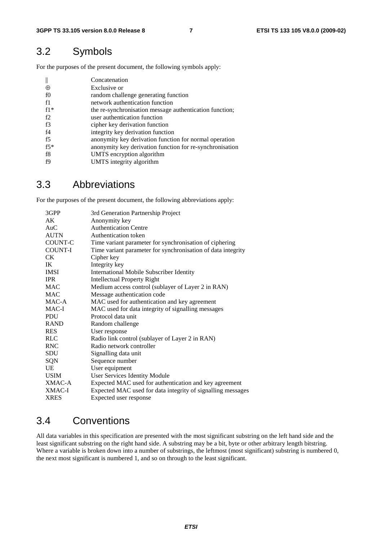## 3.2 Symbols

For the purposes of the present document, the following symbols apply:

|          | Concatenation                                            |
|----------|----------------------------------------------------------|
| $\oplus$ | Exclusive or                                             |
| f0       | random challenge generating function                     |
| f1       | network authentication function                          |
| $f1*$    | the re-synchronisation message authentication function;  |
| f2       | user authentication function                             |
| f3       | cipher key derivation function                           |
| f4       | integrity key derivation function                        |
| f5       | anonymity key derivation function for normal operation   |
| $f5*$    | anonymity key derivation function for re-synchronisation |
| f8       | UMTS encryption algorithm                                |
| f9       | UMTS integrity algorithm                                 |

## 3.3 Abbreviations

For the purposes of the present document, the following abbreviations apply:

| AK<br>Anonymity key<br><b>Authentication Centre</b><br>AuC<br><b>AUTN</b><br>Authentication token<br>COUNT-C<br>Time variant parameter for synchronisation of ciphering<br>Time variant parameter for synchronisation of data integrity<br><b>COUNT-I</b><br>CK.<br>Cipher key<br>Integrity key<br>IK<br><b>IMSI</b><br><b>International Mobile Subscriber Identity</b><br><b>IPR</b><br><b>Intellectual Property Right</b><br>Medium access control (sublayer of Layer 2 in RAN)<br><b>MAC</b><br>Message authentication code<br><b>MAC</b><br>MAC-A<br>MAC used for authentication and key agreement<br>$MAC-I$<br>MAC used for data integrity of signalling messages<br>Protocol data unit<br><b>PDU</b><br><b>RAND</b><br>Random challenge<br><b>RES</b><br>User response<br><b>RLC</b><br>Radio link control (sublayer of Layer 2 in RAN)<br>Radio network controller<br><b>RNC</b><br><b>SDU</b><br>Signalling data unit<br>SQN<br>Sequence number<br>User equipment<br>UE<br><b>USIM</b><br>User Services Identity Module<br>Expected MAC used for authentication and key agreement<br>XMAC-A<br>Expected MAC used for data integrity of signalling messages<br>XMAC-I<br>Expected user response<br><b>XRES</b> | 3GPP | 3rd Generation Partnership Project |
|------------------------------------------------------------------------------------------------------------------------------------------------------------------------------------------------------------------------------------------------------------------------------------------------------------------------------------------------------------------------------------------------------------------------------------------------------------------------------------------------------------------------------------------------------------------------------------------------------------------------------------------------------------------------------------------------------------------------------------------------------------------------------------------------------------------------------------------------------------------------------------------------------------------------------------------------------------------------------------------------------------------------------------------------------------------------------------------------------------------------------------------------------------------------------------------------------------------------|------|------------------------------------|
|                                                                                                                                                                                                                                                                                                                                                                                                                                                                                                                                                                                                                                                                                                                                                                                                                                                                                                                                                                                                                                                                                                                                                                                                                        |      |                                    |
|                                                                                                                                                                                                                                                                                                                                                                                                                                                                                                                                                                                                                                                                                                                                                                                                                                                                                                                                                                                                                                                                                                                                                                                                                        |      |                                    |
|                                                                                                                                                                                                                                                                                                                                                                                                                                                                                                                                                                                                                                                                                                                                                                                                                                                                                                                                                                                                                                                                                                                                                                                                                        |      |                                    |
|                                                                                                                                                                                                                                                                                                                                                                                                                                                                                                                                                                                                                                                                                                                                                                                                                                                                                                                                                                                                                                                                                                                                                                                                                        |      |                                    |
|                                                                                                                                                                                                                                                                                                                                                                                                                                                                                                                                                                                                                                                                                                                                                                                                                                                                                                                                                                                                                                                                                                                                                                                                                        |      |                                    |
|                                                                                                                                                                                                                                                                                                                                                                                                                                                                                                                                                                                                                                                                                                                                                                                                                                                                                                                                                                                                                                                                                                                                                                                                                        |      |                                    |
|                                                                                                                                                                                                                                                                                                                                                                                                                                                                                                                                                                                                                                                                                                                                                                                                                                                                                                                                                                                                                                                                                                                                                                                                                        |      |                                    |
|                                                                                                                                                                                                                                                                                                                                                                                                                                                                                                                                                                                                                                                                                                                                                                                                                                                                                                                                                                                                                                                                                                                                                                                                                        |      |                                    |
|                                                                                                                                                                                                                                                                                                                                                                                                                                                                                                                                                                                                                                                                                                                                                                                                                                                                                                                                                                                                                                                                                                                                                                                                                        |      |                                    |
|                                                                                                                                                                                                                                                                                                                                                                                                                                                                                                                                                                                                                                                                                                                                                                                                                                                                                                                                                                                                                                                                                                                                                                                                                        |      |                                    |
|                                                                                                                                                                                                                                                                                                                                                                                                                                                                                                                                                                                                                                                                                                                                                                                                                                                                                                                                                                                                                                                                                                                                                                                                                        |      |                                    |
|                                                                                                                                                                                                                                                                                                                                                                                                                                                                                                                                                                                                                                                                                                                                                                                                                                                                                                                                                                                                                                                                                                                                                                                                                        |      |                                    |
|                                                                                                                                                                                                                                                                                                                                                                                                                                                                                                                                                                                                                                                                                                                                                                                                                                                                                                                                                                                                                                                                                                                                                                                                                        |      |                                    |
|                                                                                                                                                                                                                                                                                                                                                                                                                                                                                                                                                                                                                                                                                                                                                                                                                                                                                                                                                                                                                                                                                                                                                                                                                        |      |                                    |
|                                                                                                                                                                                                                                                                                                                                                                                                                                                                                                                                                                                                                                                                                                                                                                                                                                                                                                                                                                                                                                                                                                                                                                                                                        |      |                                    |
|                                                                                                                                                                                                                                                                                                                                                                                                                                                                                                                                                                                                                                                                                                                                                                                                                                                                                                                                                                                                                                                                                                                                                                                                                        |      |                                    |
|                                                                                                                                                                                                                                                                                                                                                                                                                                                                                                                                                                                                                                                                                                                                                                                                                                                                                                                                                                                                                                                                                                                                                                                                                        |      |                                    |
|                                                                                                                                                                                                                                                                                                                                                                                                                                                                                                                                                                                                                                                                                                                                                                                                                                                                                                                                                                                                                                                                                                                                                                                                                        |      |                                    |
|                                                                                                                                                                                                                                                                                                                                                                                                                                                                                                                                                                                                                                                                                                                                                                                                                                                                                                                                                                                                                                                                                                                                                                                                                        |      |                                    |
|                                                                                                                                                                                                                                                                                                                                                                                                                                                                                                                                                                                                                                                                                                                                                                                                                                                                                                                                                                                                                                                                                                                                                                                                                        |      |                                    |
|                                                                                                                                                                                                                                                                                                                                                                                                                                                                                                                                                                                                                                                                                                                                                                                                                                                                                                                                                                                                                                                                                                                                                                                                                        |      |                                    |
|                                                                                                                                                                                                                                                                                                                                                                                                                                                                                                                                                                                                                                                                                                                                                                                                                                                                                                                                                                                                                                                                                                                                                                                                                        |      |                                    |
|                                                                                                                                                                                                                                                                                                                                                                                                                                                                                                                                                                                                                                                                                                                                                                                                                                                                                                                                                                                                                                                                                                                                                                                                                        |      |                                    |
|                                                                                                                                                                                                                                                                                                                                                                                                                                                                                                                                                                                                                                                                                                                                                                                                                                                                                                                                                                                                                                                                                                                                                                                                                        |      |                                    |
|                                                                                                                                                                                                                                                                                                                                                                                                                                                                                                                                                                                                                                                                                                                                                                                                                                                                                                                                                                                                                                                                                                                                                                                                                        |      |                                    |

## 3.4 Conventions

All data variables in this specification are presented with the most significant substring on the left hand side and the least significant substring on the right hand side. A substring may be a bit, byte or other arbitrary length bitstring. Where a variable is broken down into a number of substrings, the leftmost (most significant) substring is numbered 0, the next most significant is numbered 1, and so on through to the least significant.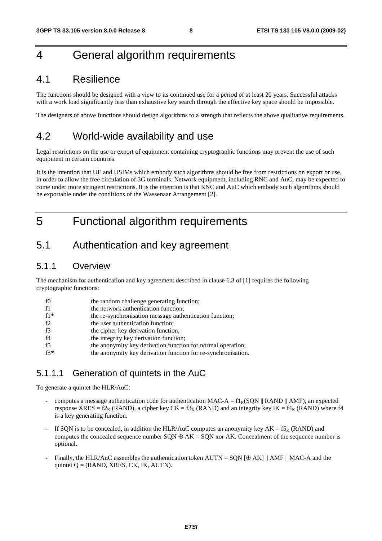## 4 General algorithm requirements

## 4.1 Resilience

The functions should be designed with a view to its continued use for a period of at least 20 years. Successful attacks with a work load significantly less than exhaustive key search through the effective key space should be impossible.

The designers of above functions should design algorithms to a strength that reflects the above qualitative requirements.

## 4.2 World-wide availability and use

Legal restrictions on the use or export of equipment containing cryptographic functions may prevent the use of such equipment in certain countries.

It is the intention that UE and USIMs which embody such algorithms should be free from restrictions on export or use, in order to allow the free circulation of 3G terminals. Network equipment, including RNC and AuC, may be expected to come under more stringent restrictions. It is the intention is that RNC and AuC which embody such algorithms should be exportable under the conditions of the Wassenaar Arrangement [2].

## 5 Functional algorithm requirements

## 5.1 Authentication and key agreement

### 5.1.1 Overview

The mechanism for authentication and key agreement described in clause 6.3 of [1] requires the following cryptographic functions:

| f0    | the random challenge generating function;                     |
|-------|---------------------------------------------------------------|
| f1    | the network authentication function;                          |
| $f1*$ | the re-synchronisation message authentication function;       |
| f2    | the user authentication function;                             |
| f3    | the cipher key derivation function;                           |
| f4    | the integrity key derivation function;                        |
| f5    | the anonymity key derivation function for normal operation;   |
| $f5*$ | the anonymity key derivation function for re-synchronisation. |

## 5.1.1.1 Generation of quintets in the AuC

To generate a quintet the HLR/AuC:

- computes a message authentication code for authentication MAC-A =  $f1_K(SON \parallel RAND \parallel AMF)$ , an expected response XRES =  $f2_K$  (RAND), a cipher key CK =  $f3_K$  (RAND) and an integrity key IK =  $f4_K$  (RAND) where f4 is a key generating function.
- If SQN is to be concealed, in addition the HLR/AuC computes an anonymity key  $AK = f5<sub>K</sub>$  (RAND) and computes the concealed sequence number  $SQN \oplus AK = SQN$  xor AK. Concealment of the sequence number is optional.
- Finally, the HLR/AuC assembles the authentication token AUTN = SQN  $[\oplus AK]$  || AMF || MAC-A and the quintet  $Q = (RAND, XRES, CK, IK, AUTN).$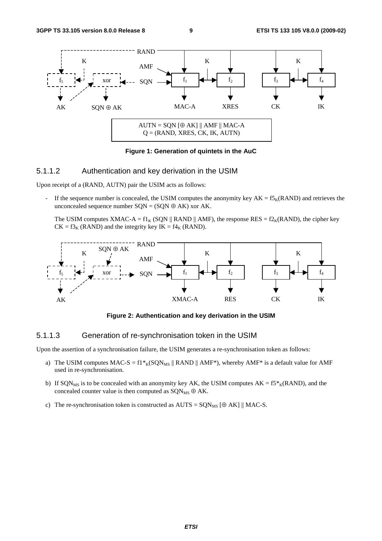

**Figure 1: Generation of quintets in the AuC** 

#### 5.1.1.2 Authentication and key derivation in the USIM

Upon receipt of a (RAND, AUTN) pair the USIM acts as follows:

If the sequence number is concealed, the USIM computes the anonymity key  $AK = f_{K}(RAND)$  and retrieves the unconcealed sequence number  $SQN = (SQN \oplus AK)$  xor AK.

The USIM computes XMAC-A =  $f1_K$  (SQN || RAND || AMF), the response RES =  $f2_K(RAND)$ , the cipher key  $CK = f3<sub>K</sub>$  (RAND) and the integrity key IK =  $f4<sub>K</sub>$  (RAND).



**Figure 2: Authentication and key derivation in the USIM** 

#### 5.1.1.3 Generation of re-synchronisation token in the USIM

Upon the assertion of a synchronisation failure, the USIM generates a re-synchronisation token as follows:

- a) The USIM computes  $MAC-S = f1*_{K}(SQN_{MS} || RANDOMmath> RAND || AMF*)$ , whereby  $AMF*$  is a default value for AMF used in re-synchronisation.
- b) If SQN<sub>MS</sub> is to be concealed with an anonymity key AK, the USIM computes  $AK = f5*_{K}(RAND)$ , and the concealed counter value is then computed as  $\text{SON}_{\text{MS}} \oplus \text{AK}$ .
- c) The re-synchronisation token is constructed as  $AUTS = SQN_{MS} [\oplus AK] || MAC-S$ .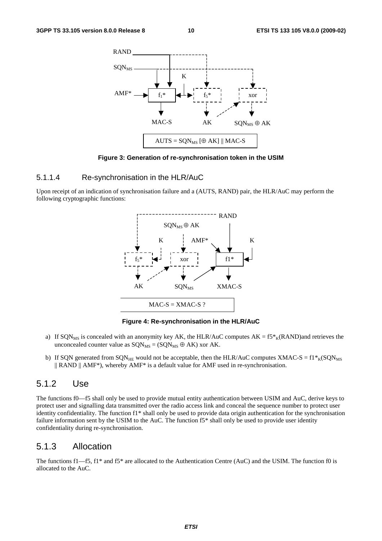

**Figure 3: Generation of re-synchronisation token in the USIM** 

#### 5.1.1.4 Re-synchronisation in the HLR/AuC

Upon receipt of an indication of synchronisation failure and a (AUTS, RAND) pair, the HLR/AuC may perform the following cryptographic functions:



**Figure 4: Re-synchronisation in the HLR/AuC** 

- a) If SQN<sub>MS</sub> is concealed with an anonymity key AK, the HLR/AuC computes  $AK = f5*_{K}(RAND)$ and retrieves the unconcealed counter value as  $SQN_{MS} = (SQN_{MS} \oplus AK)$  xor AK.
- b) If SQN generated from SQN<sub>HE</sub> would not be acceptable, then the HLR/AuC computes XMAC-S =  $f1*_{K}(SQN_{MS})$  $||$  RAND  $||$  AMF<sup>\*</sup>), whereby AMF<sup>\*</sup> is a default value for AMF used in re-synchronisation.

### 5.1.2 Use

The functions f0—f5 shall only be used to provide mutual entity authentication between USIM and AuC, derive keys to protect user and signalling data transmitted over the radio access link and conceal the sequence number to protect user identity confidentiality. The function f1\* shall only be used to provide data origin authentication for the synchronisation failure information sent by the USIM to the AuC. The function f5\* shall only be used to provide user identity confidentiality during re-synchronisation.

### 5.1.3 Allocation

The functions f1—f5, f1\* and f5\* are allocated to the Authentication Centre (AuC) and the USIM. The function f0 is allocated to the AuC.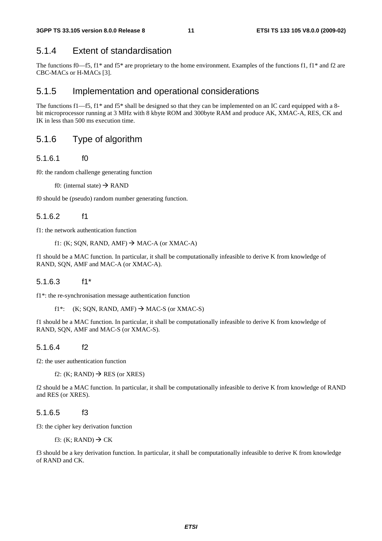### 5.1.4 Extent of standardisation

The functions f0—f5, f1\* and f5\* are proprietary to the home environment. Examples of the functions f1, f1\* and f2 are CBC-MACs or H-MACs [3].

### 5.1.5 Implementation and operational considerations

The functions f1—f5, f1\* and f5\* shall be designed so that they can be implemented on an IC card equipped with a 8bit microprocessor running at 3 MHz with 8 kbyte ROM and 300byte RAM and produce AK, XMAC-A, RES, CK and IK in less than 500 ms execution time.

## 5.1.6 Type of algorithm

#### 5.1.6.1 f0

f0: the random challenge generating function

f0: (internal state)  $\rightarrow$  RAND

f0 should be (pseudo) random number generating function.

### 5.1.6.2 f1

f1: the network authentication function

```
f1: (K; SQN, RAND, AMF) \rightarrow MAC-A (or XMAC-A)
```
f1 should be a MAC function. In particular, it shall be computationally infeasible to derive K from knowledge of RAND, SQN, AMF and MAC-A (or XMAC-A).

#### 5.1.6.3 f1\*

f1\*: the re-synchronisation message authentication function

```
f1*: (K; SQN, RAND, AMF) \rightarrow MAC-S (or XMAC-S)
```
f1 should be a MAC function. In particular, it shall be computationally infeasible to derive K from knowledge of RAND, SQN, AMF and MAC-S (or XMAC-S).

### 5.1.6.4 f2

f2: the user authentication function

f2: (K; RAND)  $\rightarrow$  RES (or XRES)

f2 should be a MAC function. In particular, it shall be computationally infeasible to derive K from knowledge of RAND and RES (or XRES).

### 5.1.6.5 f3

f3: the cipher key derivation function

f3: (K; RAND)  $\rightarrow$  CK

f3 should be a key derivation function. In particular, it shall be computationally infeasible to derive K from knowledge of RAND and CK.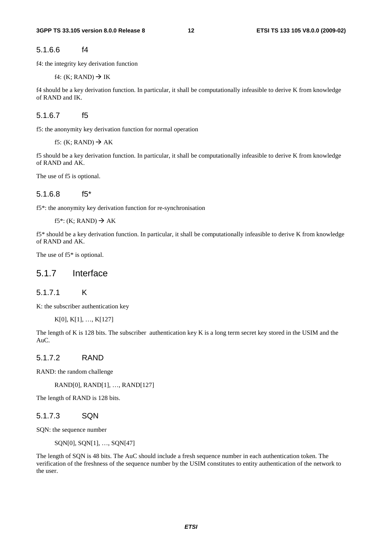5.1.6.6 f4

f4: the integrity key derivation function

f4:  $(K; RAND) \rightarrow IK$ 

f4 should be a key derivation function. In particular, it shall be computationally infeasible to derive K from knowledge of RAND and IK.

5.1.6.7 f5

f5: the anonymity key derivation function for normal operation

f5: (K; RAND)  $\rightarrow$  AK

f5 should be a key derivation function. In particular, it shall be computationally infeasible to derive K from knowledge of RAND and AK.

The use of f5 is optional.

#### 5.1.6.8 f5\*

f5\*: the anonymity key derivation function for re-synchronisation

f5\*: (K; RAND)  $\rightarrow$  AK

f5\* should be a key derivation function. In particular, it shall be computationally infeasible to derive K from knowledge of RAND and AK.

The use of  $f5*$  is optional.

### 5.1.7 Interface

#### 5.1.7.1 K

K: the subscriber authentication key

K[0], K[1], …, K[127]

The length of K is 128 bits. The subscriber authentication key K is a long term secret key stored in the USIM and the AuC.

#### 5.1.7.2 RAND

RAND: the random challenge

RAND[0], RAND[1], …, RAND[127]

The length of RAND is 128 bits.

#### 5.1.7.3 SQN

SQN: the sequence number

```
SQN[0], SQN[1], …, SQN[47]
```
The length of SQN is 48 bits. The AuC should include a fresh sequence number in each authentication token. The verification of the freshness of the sequence number by the USIM constitutes to entity authentication of the network to the user.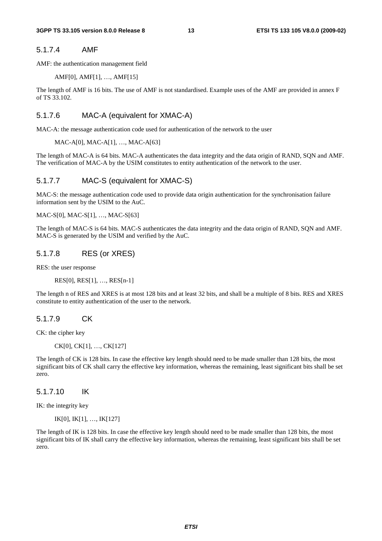#### 5.1.7.4 AMF

AMF: the authentication management field

AMF[0], AMF[1], …, AMF[15]

The length of AMF is 16 bits. The use of AMF is not standardised. Example uses of the AMF are provided in annex F of TS 33.102.

#### 5.1.7.6 MAC-A (equivalent for XMAC-A)

MAC-A: the message authentication code used for authentication of the network to the user

MAC-A[0], MAC-A[1], …, MAC-A[63]

The length of MAC-A is 64 bits. MAC-A authenticates the data integrity and the data origin of RAND, SQN and AMF. The verification of MAC-A by the USIM constitutes to entity authentication of the network to the user.

#### 5.1.7.7 MAC-S (equivalent for XMAC-S)

MAC-S: the message authentication code used to provide data origin authentication for the synchronisation failure information sent by the USIM to the AuC.

MAC-S[0], MAC-S[1], …, MAC-S[63]

The length of MAC-S is 64 bits. MAC-S authenticates the data integrity and the data origin of RAND, SQN and AMF. MAC-S is generated by the USIM and verified by the AuC.

#### 5.1.7.8 RES (or XRES)

RES: the user response

RES[0], RES[1], …, RES[n-1]

The length n of RES and XRES is at most 128 bits and at least 32 bits, and shall be a multiple of 8 bits. RES and XRES constitute to entity authentication of the user to the network.

5.1.7.9 CK

CK: the cipher key

CK[0], CK[1], …, CK[127]

The length of CK is 128 bits. In case the effective key length should need to be made smaller than 128 bits, the most significant bits of CK shall carry the effective key information, whereas the remaining, least significant bits shall be set zero.

5.1.7.10 IK

IK: the integrity key

IK[0], IK[1], …, IK[127]

The length of IK is 128 bits. In case the effective key length should need to be made smaller than 128 bits, the most significant bits of IK shall carry the effective key information, whereas the remaining, least significant bits shall be set zero.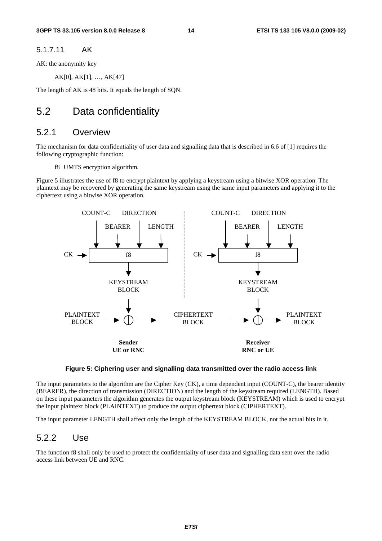#### 5.1.7.11 AK

AK: the anonymity key

AK[0], AK[1], …, AK[47]

The length of AK is 48 bits. It equals the length of SQN.

## 5.2 Data confidentiality

### 5.2.1 Overview

The mechanism for data confidentiality of user data and signalling data that is described in 6.6 of [1] requires the following cryptographic function:

f8 UMTS encryption algorithm.

Figure 5 illustrates the use of f8 to encrypt plaintext by applying a keystream using a bitwise XOR operation. The plaintext may be recovered by generating the same keystream using the same input parameters and applying it to the ciphertext using a bitwise XOR operation.



#### **Figure 5: Ciphering user and signalling data transmitted over the radio access link**

The input parameters to the algorithm are the Cipher Key (CK), a time dependent input (COUNT-C), the bearer identity (BEARER), the direction of transmission (DIRECTION) and the length of the keystream required (LENGTH). Based on these input parameters the algorithm generates the output keystream block (KEYSTREAM) which is used to encrypt the input plaintext block (PLAINTEXT) to produce the output ciphertext block (CIPHERTEXT).

The input parameter LENGTH shall affect only the length of the KEYSTREAM BLOCK, not the actual bits in it.

### 5.2.2 Use

The function f8 shall only be used to protect the confidentiality of user data and signalling data sent over the radio access link between UE and RNC.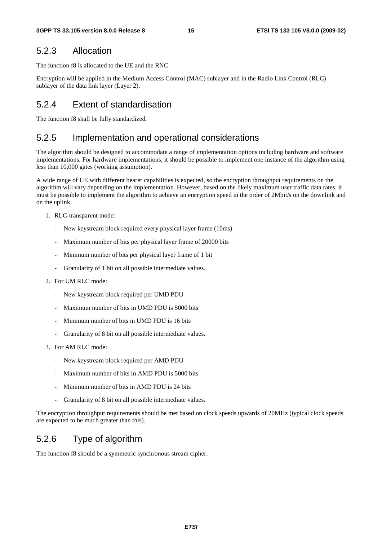### 5.2.3 Allocation

The function f8 is allocated to the UE and the RNC.

Encryption will be applied in the Medium Access Control (MAC) sublayer and in the Radio Link Control (RLC) sublayer of the data link layer (Layer 2).

### 5.2.4 Extent of standardisation

The function f8 shall be fully standardized.

### 5.2.5 Implementation and operational considerations

The algorithm should be designed to accommodate a range of implementation options including hardware and software implementations. For hardware implementations, it should be possible to implement one instance of the algorithm using less than 10,000 gates (working assumption).

A wide range of UE with different bearer capabilities is expected, so the encryption throughput requirements on the algorithm will vary depending on the implementation. However, based on the likely maximum user traffic data rates, it must be possible to implement the algorithm to achieve an encryption speed in the order of 2Mbit/s on the downlink and on the uplink.

- 1. RLC-transparent mode:
	- New keystream block required every physical layer frame (10ms)
	- Maximum number of bits per physical layer frame of 20000 bits
	- Minimum number of bits per physical layer frame of 1 bit
	- Granularity of 1 bit on all possible intermediate values.
- 2. For UM RLC mode:
	- New keystream block required per UMD PDU
	- Maximum number of bits in UMD PDU is 5000 bits
	- Minimum number of bits in UMD PDU is 16 bits
	- Granularity of 8 bit on all possible intermediate values.
- 3. For AM RLC mode:
	- New keystream block required per AMD PDU
	- Maximum number of bits in AMD PDU is 5000 bits
	- Minimum number of bits in AMD PDU is 24 bits
	- Granularity of 8 bit on all possible intermediate values.

The encryption throughput requirements should be met based on clock speeds upwards of 20MHz (typical clock speeds are expected to be much greater than this).

### 5.2.6 Type of algorithm

The function f8 should be a symmetric synchronous stream cipher.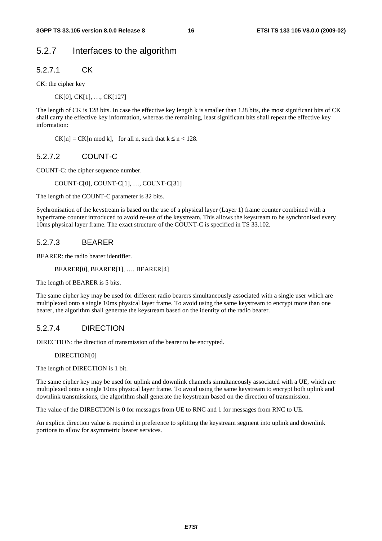### 5.2.7 Interfaces to the algorithm

5.2.7.1 CK

CK: the cipher key

CK[0], CK[1], …, CK[127]

The length of CK is 128 bits. In case the effective key length k is smaller than 128 bits, the most significant bits of CK shall carry the effective key information, whereas the remaining, least significant bits shall repeat the effective key information:

 $CK[n] = CK[n \mod k]$ , for all n, such that  $k \le n < 128$ .

#### 5.2.7.2 COUNT-C

COUNT-C: the cipher sequence number.

COUNT-C[0], COUNT-C[1], …, COUNT-C[31]

The length of the COUNT-C parameter is 32 bits.

Sychronisation of the keystream is based on the use of a physical layer (Layer 1) frame counter combined with a hyperframe counter introduced to avoid re-use of the keystream. This allows the keystream to be synchronised every 10ms physical layer frame. The exact structure of the COUNT-C is specified in TS 33.102.

#### 5.2.7.3 BEARER

BEARER: the radio bearer identifier.

#### BEARER[0], BEARER[1], …, BEARER[4]

The length of BEARER is 5 bits.

The same cipher key may be used for different radio bearers simultaneously associated with a single user which are multiplexed onto a single 10ms physical layer frame. To avoid using the same keystream to encrypt more than one bearer, the algorithm shall generate the keystream based on the identity of the radio bearer.

### 5.2.7.4 DIRECTION

DIRECTION: the direction of transmission of the bearer to be encrypted.

#### DIRECTION[0]

The length of DIRECTION is 1 bit.

The same cipher key may be used for uplink and downlink channels simultaneously associated with a UE, which are multiplexed onto a single 10ms physical layer frame. To avoid using the same keystream to encrypt both uplink and downlink transmissions, the algorithm shall generate the keystream based on the direction of transmission.

The value of the DIRECTION is 0 for messages from UE to RNC and 1 for messages from RNC to UE.

An explicit direction value is required in preference to splitting the keystream segment into uplink and downlink portions to allow for asymmetric bearer services.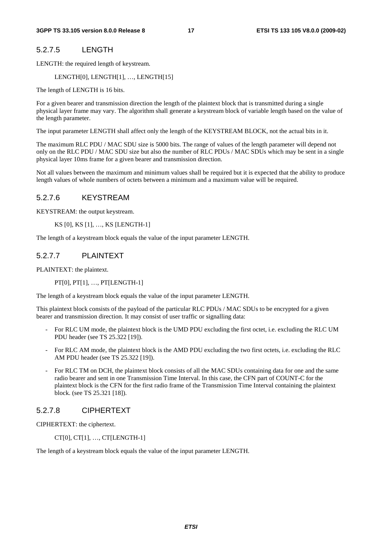#### 5.2.7.5 LENGTH

LENGTH: the required length of keystream.

LENGTH[0], LENGTH[1], …, LENGTH[15]

The length of LENGTH is 16 bits.

For a given bearer and transmission direction the length of the plaintext block that is transmitted during a single physical layer frame may vary. The algorithm shall generate a keystream block of variable length based on the value of the length parameter.

The input parameter LENGTH shall affect only the length of the KEYSTREAM BLOCK, not the actual bits in it.

The maximum RLC PDU / MAC SDU size is 5000 bits. The range of values of the length parameter will depend not only on the RLC PDU / MAC SDU size but also the number of RLC PDUs / MAC SDUs which may be sent in a single physical layer 10ms frame for a given bearer and transmission direction.

Not all values between the maximum and minimum values shall be required but it is expected that the ability to produce length values of whole numbers of octets between a minimum and a maximum value will be required.

### 5.2.7.6 KEYSTREAM

KEYSTREAM: the output keystream.

KS [0], KS [1], …, KS [LENGTH-1]

The length of a keystream block equals the value of the input parameter LENGTH.

#### 5.2.7.7 PLAINTEXT

PLAINTEXT: the plaintext.

PT[0], PT[1], …, PT[LENGTH-1]

The length of a keystream block equals the value of the input parameter LENGTH.

This plaintext block consists of the payload of the particular RLC PDUs / MAC SDUs to be encrypted for a given bearer and transmission direction. It may consist of user traffic or signalling data:

- For RLC UM mode, the plaintext block is the UMD PDU excluding the first octet, i.e. excluding the RLC UM PDU header (see TS 25.322 [19]).
- For RLC AM mode, the plaintext block is the AMD PDU excluding the two first octets, i.e. excluding the RLC AM PDU header (see TS 25.322 [19]).
- For RLC TM on DCH, the plaintext block consists of all the MAC SDUs containing data for one and the same radio bearer and sent in one Transmission Time Interval. In this case, the CFN part of COUNT-C for the plaintext block is the CFN for the first radio frame of the Transmission Time Interval containing the plaintext block. (see TS 25.321 [18]).

### 5.2.7.8 CIPHERTEXT

CIPHERTEXT: the ciphertext.

CT[0], CT[1], …, CT[LENGTH-1]

The length of a keystream block equals the value of the input parameter LENGTH.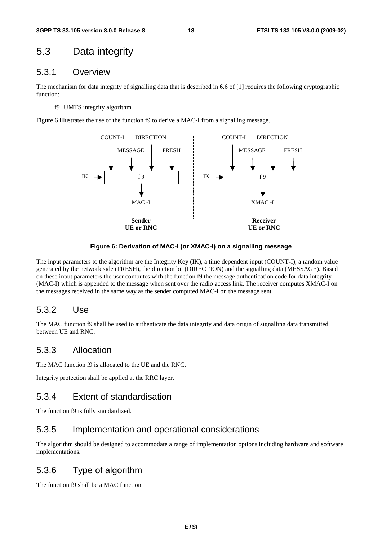## 5.3 Data integrity

### 5.3.1 Overview

The mechanism for data integrity of signalling data that is described in 6.6 of [1] requires the following cryptographic function:

f9 UMTS integrity algorithm.

Figure 6 illustrates the use of the function f9 to derive a MAC-I from a signalling message.



#### **Figure 6: Derivation of MAC-I (or XMAC-I) on a signalling message**

The input parameters to the algorithm are the Integrity Key (IK), a time dependent input (COUNT-I), a random value generated by the network side (FRESH), the direction bit (DIRECTION) and the signalling data (MESSAGE). Based on these input parameters the user computes with the function f9 the message authentication code for data integrity (MAC-I) which is appended to the message when sent over the radio access link. The receiver computes XMAC-I on the messages received in the same way as the sender computed MAC-I on the message sent.

### 5.3.2 Use

The MAC function f9 shall be used to authenticate the data integrity and data origin of signalling data transmitted between UE and RNC.

### 5.3.3 Allocation

The MAC function f9 is allocated to the UE and the RNC.

Integrity protection shall be applied at the RRC layer.

### 5.3.4 Extent of standardisation

The function f9 is fully standardized.

### 5.3.5 Implementation and operational considerations

The algorithm should be designed to accommodate a range of implementation options including hardware and software implementations.

## 5.3.6 Type of algorithm

The function f9 shall be a MAC function.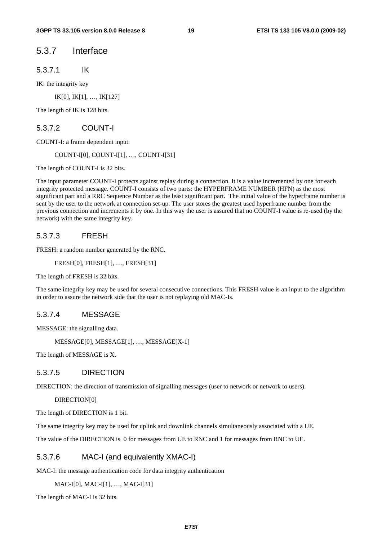### 5.3.7 Interface

5.3.7.1 IK

IK: the integrity key

IK[0], IK[1], …, IK[127]

The length of IK is 128 bits.

#### 5.3.7.2 COUNT-I

COUNT-I: a frame dependent input.

COUNT-I[0], COUNT-I[1], …, COUNT-I[31]

The length of COUNT-I is 32 bits.

The input parameter COUNT-I protects against replay during a connection. It is a value incremented by one for each integrity protected message. COUNT-I consists of two parts: the HYPERFRAME NUMBER (HFN) as the most significant part and a RRC Sequence Number as the least significant part. The initial value of the hyperframe number is sent by the user to the network at connection set-up. The user stores the greatest used hyperframe number from the previous connection and increments it by one. In this way the user is assured that no COUNT-I value is re-used (by the network) with the same integrity key.

#### 5.3.7.3 FRESH

FRESH: a random number generated by the RNC.

FRESH[0], FRESH[1], …, FRESH[31]

The length of FRESH is 32 bits.

The same integrity key may be used for several consecutive connections. This FRESH value is an input to the algorithm in order to assure the network side that the user is not replaying old MAC-Is.

#### 5.3.7.4 MESSAGE

MESSAGE: the signalling data.

MESSAGE[0], MESSAGE[1], …, MESSAGE[X-1]

The length of MESSAGE is X.

#### 5.3.7.5 DIRECTION

DIRECTION: the direction of transmission of signalling messages (user to network or network to users).

DIRECTION[0]

The length of DIRECTION is 1 bit.

The same integrity key may be used for uplink and downlink channels simultaneously associated with a UE.

The value of the DIRECTION is 0 for messages from UE to RNC and 1 for messages from RNC to UE.

#### 5.3.7.6 MAC-I (and equivalently XMAC-I)

MAC-I: the message authentication code for data integrity authentication

MAC-I[0], MAC-I[1], …, MAC-I[31]

The length of MAC-I is 32 bits.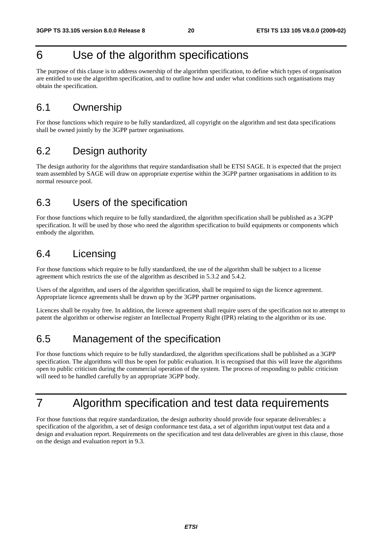## 6 Use of the algorithm specifications

The purpose of this clause is to address ownership of the algorithm specification, to define which types of organisation are entitled to use the algorithm specification, and to outline how and under what conditions such organisations may obtain the specification.

## 6.1 Ownership

For those functions which require to be fully standardized, all copyright on the algorithm and test data specifications shall be owned jointly by the 3GPP partner organisations.

## 6.2 Design authority

The design authority for the algorithms that require standardisation shall be ETSI SAGE. It is expected that the project team assembled by SAGE will draw on appropriate expertise within the 3GPP partner organisations in addition to its normal resource pool.

## 6.3 Users of the specification

For those functions which require to be fully standardized, the algorithm specification shall be published as a 3GPP specification. It will be used by those who need the algorithm specification to build equipments or components which embody the algorithm.

## 6.4 Licensing

For those functions which require to be fully standardized, the use of the algorithm shall be subject to a license agreement which restricts the use of the algorithm as described in 5.3.2 and 5.4.2.

Users of the algorithm, and users of the algorithm specification, shall be required to sign the licence agreement. Appropriate licence agreements shall be drawn up by the 3GPP partner organisations.

Licences shall be royalty free. In addition, the licence agreement shall require users of the specification not to attempt to patent the algorithm or otherwise register an Intellectual Property Right (IPR) relating to the algorithm or its use.

## 6.5 Management of the specification

For those functions which require to be fully standardized, the algorithm specifications shall be published as a 3GPP specification. The algorithms will thus be open for public evaluation. It is recognised that this will leave the algorithms open to public criticism during the commercial operation of the system. The process of responding to public criticism will need to be handled carefully by an appropriate 3GPP body.

## 7 Algorithm specification and test data requirements

For those functions that require standardization, the design authority should provide four separate deliverables: a specification of the algorithm, a set of design conformance test data, a set of algorithm input/output test data and a design and evaluation report. Requirements on the specification and test data deliverables are given in this clause, those on the design and evaluation report in 9.3.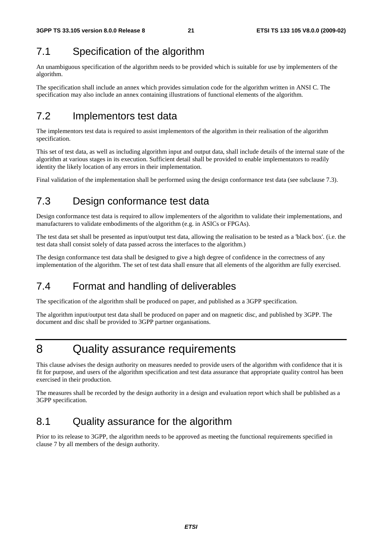## 7.1 Specification of the algorithm

An unambiguous specification of the algorithm needs to be provided which is suitable for use by implementers of the algorithm.

The specification shall include an annex which provides simulation code for the algorithm written in ANSI C. The specification may also include an annex containing illustrations of functional elements of the algorithm.

## 7.2 Implementors test data

The implementors test data is required to assist implementors of the algorithm in their realisation of the algorithm specification.

This set of test data, as well as including algorithm input and output data, shall include details of the internal state of the algorithm at various stages in its execution. Sufficient detail shall be provided to enable implementators to readily identity the likely location of any errors in their implementation.

Final validation of the implementation shall be performed using the design conformance test data (see subclause 7.3).

## 7.3 Design conformance test data

Design conformance test data is required to allow implementers of the algorithm to validate their implementations, and manufacturers to validate embodiments of the algorithm (e.g. in ASICs or FPGAs).

The test data set shall be presented as input/output test data, allowing the realisation to be tested as a 'black box'. (i.e. the test data shall consist solely of data passed across the interfaces to the algorithm.)

The design conformance test data shall be designed to give a high degree of confidence in the correctness of any implementation of the algorithm. The set of test data shall ensure that all elements of the algorithm are fully exercised.

## 7.4 Format and handling of deliverables

The specification of the algorithm shall be produced on paper, and published as a 3GPP specification.

The algorithm input/output test data shall be produced on paper and on magnetic disc, and published by 3GPP. The document and disc shall be provided to 3GPP partner organisations.

## 8 Quality assurance requirements

This clause advises the design authority on measures needed to provide users of the algorithm with confidence that it is fit for purpose, and users of the algorithm specification and test data assurance that appropriate quality control has been exercised in their production.

The measures shall be recorded by the design authority in a design and evaluation report which shall be published as a 3GPP specification.

## 8.1 Quality assurance for the algorithm

Prior to its release to 3GPP, the algorithm needs to be approved as meeting the functional requirements specified in clause 7 by all members of the design authority.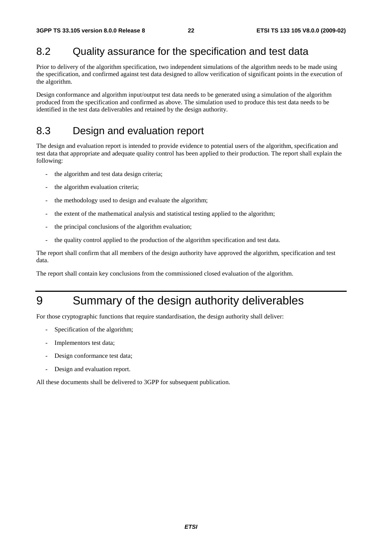## 8.2 Quality assurance for the specification and test data

Prior to delivery of the algorithm specification, two independent simulations of the algorithm needs to be made using the specification, and confirmed against test data designed to allow verification of significant points in the execution of the algorithm.

Design conformance and algorithm input/output test data needs to be generated using a simulation of the algorithm produced from the specification and confirmed as above. The simulation used to produce this test data needs to be identified in the test data deliverables and retained by the design authority.

## 8.3 Design and evaluation report

The design and evaluation report is intended to provide evidence to potential users of the algorithm, specification and test data that appropriate and adequate quality control has been applied to their production. The report shall explain the following:

- the algorithm and test data design criteria;
- the algorithm evaluation criteria;
- the methodology used to design and evaluate the algorithm;
- the extent of the mathematical analysis and statistical testing applied to the algorithm;
- the principal conclusions of the algorithm evaluation;
- the quality control applied to the production of the algorithm specification and test data.

The report shall confirm that all members of the design authority have approved the algorithm, specification and test data.

The report shall contain key conclusions from the commissioned closed evaluation of the algorithm.

## 9 Summary of the design authority deliverables

For those cryptographic functions that require standardisation, the design authority shall deliver:

- Specification of the algorithm;
- Implementors test data;
- Design conformance test data;
- Design and evaluation report.

All these documents shall be delivered to 3GPP for subsequent publication.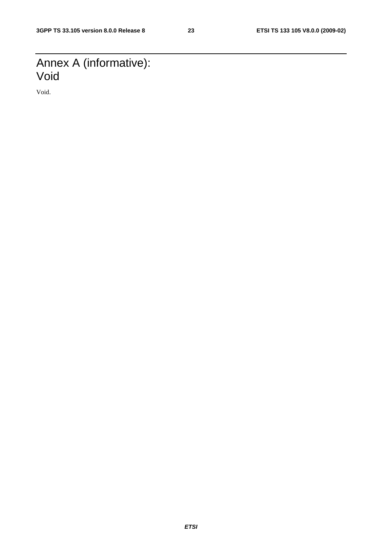## Annex A (informative): Void

Void.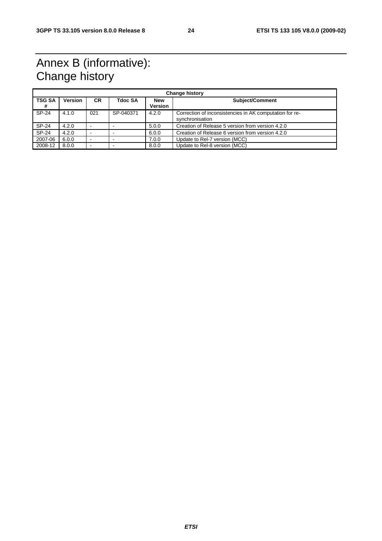## Annex B (informative): Change history

| <b>Change history</b> |                |           |                |                              |                                                                            |
|-----------------------|----------------|-----------|----------------|------------------------------|----------------------------------------------------------------------------|
| <b>TSG SA</b><br>#    | <b>Version</b> | <b>CR</b> | <b>Tdoc SA</b> | <b>New</b><br><b>Version</b> | Subject/Comment                                                            |
| SP-24                 | 4.1.0          | 021       | SP-040371      | 4.2.0                        | Correction of inconsistencies in AK computation for re-<br>synchronisation |
| SP-24                 | 4.2.0          | ۰         |                | 5.0.0                        | Creation of Release 5 version from version 4.2.0                           |
| <b>SP-24</b>          | 4.2.0          | ۰         |                | 6.0.0                        | Creation of Release 6 version from version 4.2.0                           |
| 2007-06               | 6.0.0          | -         |                | 7.0.0                        | Update to Rel-7 version (MCC)                                              |
| 2008-12               | 8.0.0          | -         |                | 8.0.0                        | Update to Rel-8 version (MCC)                                              |